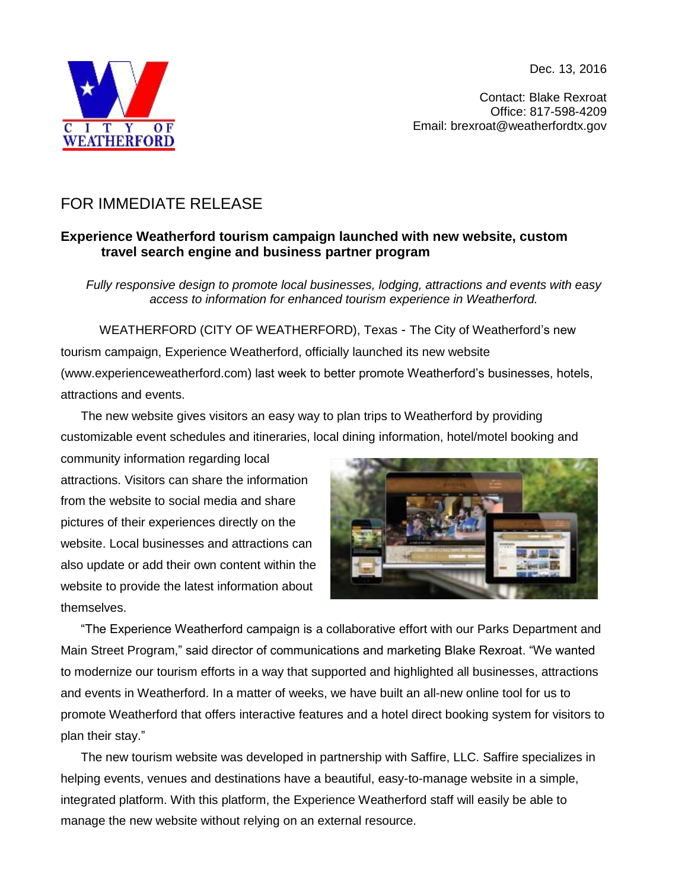Dec. 13, 2016



Contact: Blake Rexroat Office: 817-598-4209 Email: brexroat@weatherfordtx.gov

## FOR IMMEDIATE RELEASE

## **Experience Weatherford tourism campaign launched with new website, custom travel search engine and business partner program**

*Fully responsive design to promote local businesses, lodging, attractions and events with easy access to information for enhanced tourism experience in Weatherford.*

 WEATHERFORD (CITY OF WEATHERFORD), Texas - The City of Weatherford's new tourism campaign, Experience Weatherford, officially launched its new website [\(www.experienceweatherford.com\)](http://www.experienceweatherford.com/) last week to better promote Weatherford's businesses, hotels, attractions and events.

The new website gives visitors an easy way to plan trips to Weatherford by providing customizable event schedules and itineraries, local dining information, hotel/motel booking and

community information regarding local attractions. Visitors can share the information from the website to social media and share pictures of their experiences directly on the website. Local businesses and attractions can also update or add their own content within the website to provide the latest information about themselves.



"The Experience Weatherford campaign is a collaborative effort with our Parks Department and Main Street Program," said director of communications and marketing Blake Rexroat. "We wanted to modernize our tourism efforts in a way that supported and highlighted all businesses, attractions and events in Weatherford. In a matter of weeks, we have built an all-new online tool for us to promote Weatherford that offers interactive features and a hotel direct booking system for visitors to plan their stay."

The new tourism website was developed in partnership with Saffire, LLC. Saffire specializes in helping events, venues and destinations have a beautiful, easy-to-manage website in a simple, integrated platform. With this platform, the Experience Weatherford staff will easily be able to manage the new website without relying on an external resource.